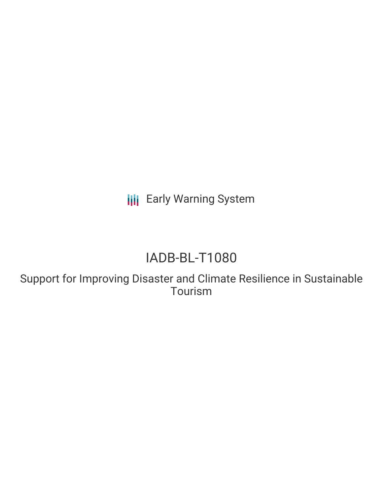**III** Early Warning System

# IADB-BL-T1080

Support for Improving Disaster and Climate Resilience in Sustainable Tourism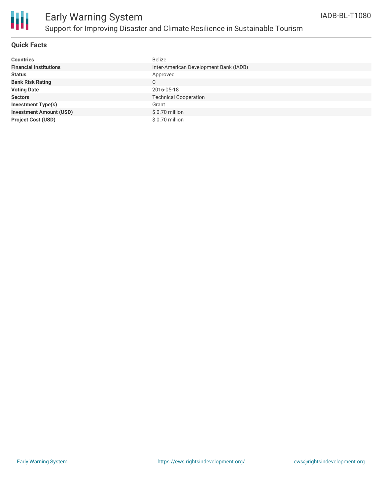

## Early Warning System Support for Improving Disaster and Climate Resilience in Sustainable Tourism

### **Quick Facts**

| <b>Countries</b>               | <b>Belize</b>                          |
|--------------------------------|----------------------------------------|
| <b>Financial Institutions</b>  | Inter-American Development Bank (IADB) |
| <b>Status</b>                  | Approved                               |
| <b>Bank Risk Rating</b>        | C                                      |
| <b>Voting Date</b>             | 2016-05-18                             |
| <b>Sectors</b>                 | <b>Technical Cooperation</b>           |
| <b>Investment Type(s)</b>      | Grant                                  |
| <b>Investment Amount (USD)</b> | \$ 0.70 million                        |
| <b>Project Cost (USD)</b>      | \$ 0.70 million                        |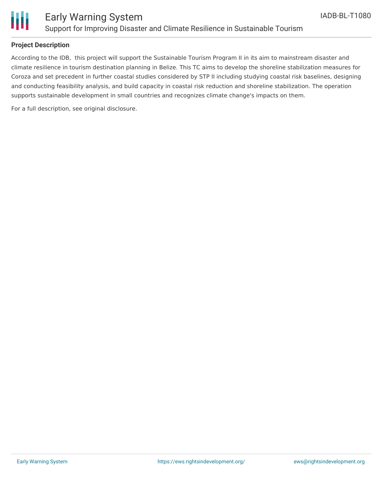



### **Project Description**

According to the IDB, this project will support the Sustainable Tourism Program II in its aim to mainstream disaster and climate resilience in tourism destination planning in Belize. This TC aims to develop the shoreline stabilization measures for Coroza and set precedent in further coastal studies considered by STP II including studying coastal risk baselines, designing and conducting feasibility analysis, and build capacity in coastal risk reduction and shoreline stabilization. The operation supports sustainable development in small countries and recognizes climate change's impacts on them.

For a full description, see original disclosure.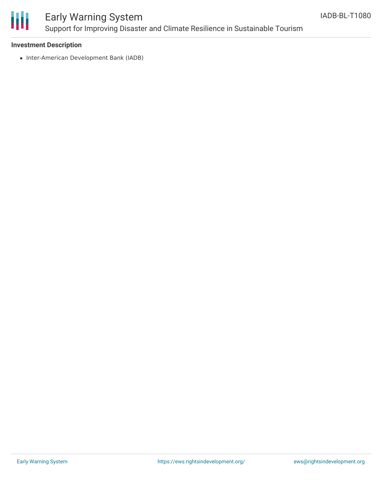

### Early Warning System Support for Improving Disaster and Climate Resilience in Sustainable Tourism

#### **Investment Description**

• Inter-American Development Bank (IADB)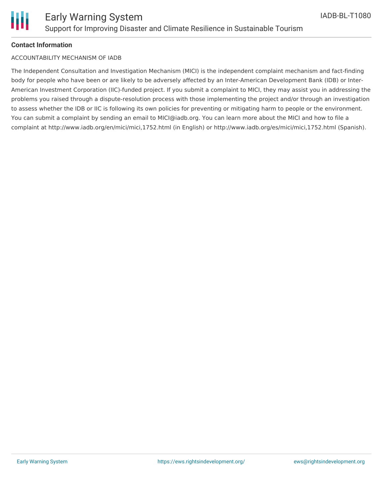

#### **Contact Information**

#### ACCOUNTABILITY MECHANISM OF IADB

The Independent Consultation and Investigation Mechanism (MICI) is the independent complaint mechanism and fact-finding body for people who have been or are likely to be adversely affected by an Inter-American Development Bank (IDB) or Inter-American Investment Corporation (IIC)-funded project. If you submit a complaint to MICI, they may assist you in addressing the problems you raised through a dispute-resolution process with those implementing the project and/or through an investigation to assess whether the IDB or IIC is following its own policies for preventing or mitigating harm to people or the environment. You can submit a complaint by sending an email to MICI@iadb.org. You can learn more about the MICI and how to file a complaint at http://www.iadb.org/en/mici/mici,1752.html (in English) or http://www.iadb.org/es/mici/mici,1752.html (Spanish).